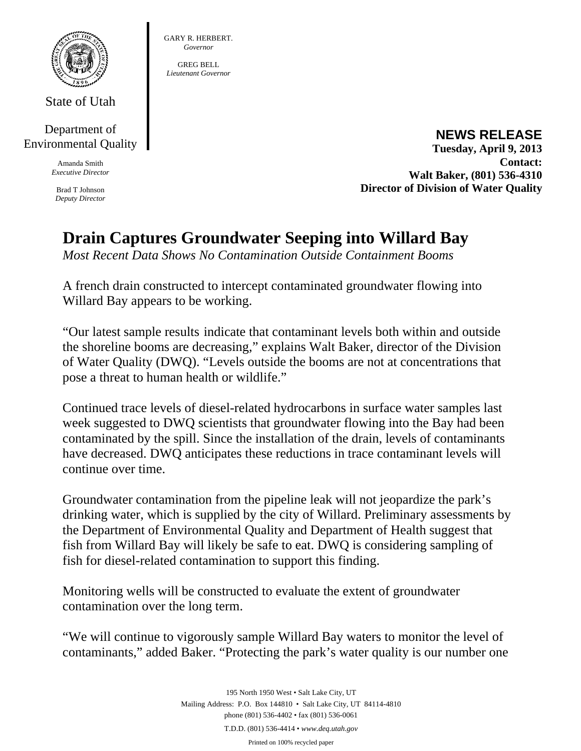

State of Utah

Department of Environmental Quality

> Amanda Smith *Executive Director*

Brad T Johnson *Deputy Director* 

**NEWS RELEASE Tuesday, April 9, 2013 Contact: Walt Baker, (801) 536-4310 Director of Division of Water Quality** 

## **Drain Captures Groundwater Seeping into Willard Bay**

*Most Recent Data Shows No Contamination Outside Containment Booms* 

GARY R. HERBERT. *Governor*  GREG BELL *Lieutenant Governor* 

A french drain constructed to intercept contaminated groundwater flowing into Willard Bay appears to be working.

"Our latest sample results indicate that contaminant levels both within and outside the shoreline booms are decreasing," explains Walt Baker, director of the Division of Water Quality (DWQ). "Levels outside the booms are not at concentrations that pose a threat to human health or wildlife."

Continued trace levels of diesel-related hydrocarbons in surface water samples last week suggested to DWQ scientists that groundwater flowing into the Bay had been contaminated by the spill. Since the installation of the drain, levels of contaminants have decreased. DWQ anticipates these reductions in trace contaminant levels will continue over time.

Groundwater contamination from the pipeline leak will not jeopardize the park's drinking water, which is supplied by the city of Willard. Preliminary assessments by the Department of Environmental Quality and Department of Health suggest that fish from Willard Bay will likely be safe to eat. DWQ is considering sampling of fish for diesel-related contamination to support this finding.

Monitoring wells will be constructed to evaluate the extent of groundwater contamination over the long term.

"We will continue to vigorously sample Willard Bay waters to monitor the level of contaminants," added Baker. "Protecting the park's water quality is our number one

> 195 North 1950 West • Salt Lake City, UT Mailing Address: P.O. Box 144810 • Salt Lake City, UT 84114-4810 phone (801) 536-4402 • fax (801) 536-0061 T.D.D. (801) 536-4414 • *www.deq.utah.gov*  Printed on 100% recycled paper